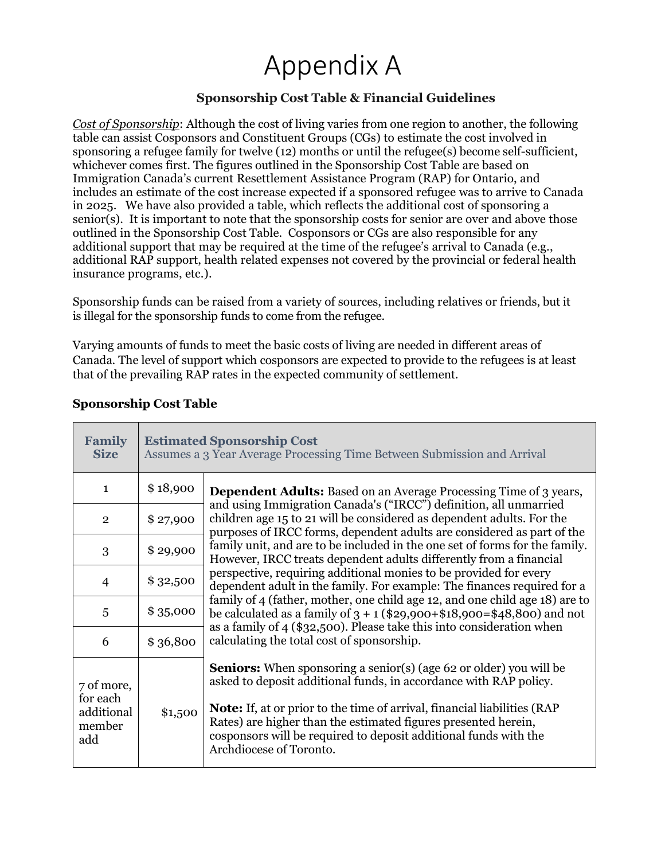## Appendix A

## **Sponsorship Cost Table & Financial Guidelines**

*Cost of Sponsorship*: Although the cost of living varies from one region to another, the following table can assist Cosponsors and Constituent Groups (CGs) to estimate the cost involved in sponsoring a refugee family for twelve (12) months or until the refugee(s) become self-sufficient, whichever comes first. The figures outlined in the Sponsorship Cost Table are based on Immigration Canada's current Resettlement Assistance Program (RAP) for Ontario, and includes an estimate of the cost increase expected if a sponsored refugee was to arrive to Canada in 2025. We have also provided a table, which reflects the additional cost of sponsoring a senior(s). It is important to note that the sponsorship costs for senior are over and above those outlined in the Sponsorship Cost Table. Cosponsors or CGs are also responsible for any additional support that may be required at the time of the refugee's arrival to Canada (e.g., additional RAP support, health related expenses not covered by the provincial or federal health insurance programs, etc.).

Sponsorship funds can be raised from a variety of sources, including relatives or friends, but it is illegal for the sponsorship funds to come from the refugee.

Varying amounts of funds to meet the basic costs of living are needed in different areas of Canada. The level of support which cosponsors are expected to provide to the refugees is at least that of the prevailing RAP rates in the expected community of settlement.

| <b>Family</b><br><b>Size</b>                          | <b>Estimated Sponsorship Cost</b><br>Assumes a 3 Year Average Processing Time Between Submission and Arrival |                                                                                                                                                                                                                                                                                                                                                                                                    |  |  |  |  |  |
|-------------------------------------------------------|--------------------------------------------------------------------------------------------------------------|----------------------------------------------------------------------------------------------------------------------------------------------------------------------------------------------------------------------------------------------------------------------------------------------------------------------------------------------------------------------------------------------------|--|--|--|--|--|
| $\mathbf{1}$                                          | \$18,900                                                                                                     | <b>Dependent Adults:</b> Based on an Average Processing Time of 3 years,                                                                                                                                                                                                                                                                                                                           |  |  |  |  |  |
| $\overline{2}$                                        | \$27,900                                                                                                     | and using Immigration Canada's ("IRCC") definition, all unmarried<br>children age 15 to 21 will be considered as dependent adults. For the<br>purposes of IRCC forms, dependent adults are considered as part of the<br>family unit, and are to be included in the one set of forms for the family.<br>However, IRCC treats dependent adults differently from a financial                          |  |  |  |  |  |
| 3                                                     | \$29,900                                                                                                     |                                                                                                                                                                                                                                                                                                                                                                                                    |  |  |  |  |  |
| $\overline{4}$                                        | \$32,500                                                                                                     | perspective, requiring additional monies to be provided for every<br>dependent adult in the family. For example: The finances required for a                                                                                                                                                                                                                                                       |  |  |  |  |  |
| 5                                                     | \$35,000                                                                                                     | family of 4 (father, mother, one child age 12, and one child age 18) are to<br>be calculated as a family of $3 + 1$ (\$29,900+\$18,900=\$48,800) and not                                                                                                                                                                                                                                           |  |  |  |  |  |
| 6                                                     | \$36,800                                                                                                     | as a family of 4 (\$32,500). Please take this into consideration when<br>calculating the total cost of sponsorship.                                                                                                                                                                                                                                                                                |  |  |  |  |  |
| 7 of more,<br>for each<br>additional<br>member<br>add | \$1,500                                                                                                      | <b>Seniors:</b> When sponsoring a senior(s) (age 62 or older) you will be<br>asked to deposit additional funds, in accordance with RAP policy.<br><b>Note:</b> If, at or prior to the time of arrival, financial liabilities (RAP<br>Rates) are higher than the estimated figures presented herein,<br>cosponsors will be required to deposit additional funds with the<br>Archdiocese of Toronto. |  |  |  |  |  |

## **Sponsorship Cost Table**